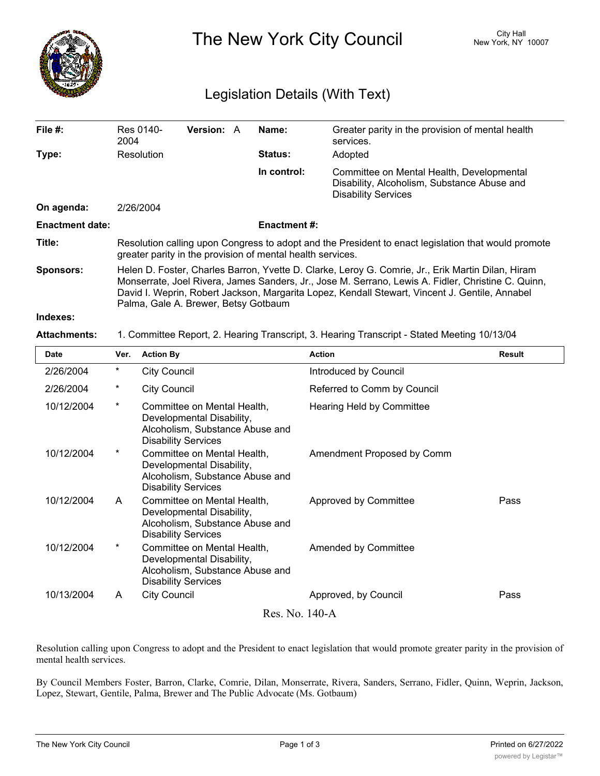

The New York City Council New York, NY 10007

## Legislation Details (With Text)

| File $#$ :             | Res 0140-<br>2004                                                                                                                                                                                                                                                                                                                                 | <b>Version: A</b> |  | Name:          | Greater parity in the provision of mental health<br>services.                                                          |  |  |  |
|------------------------|---------------------------------------------------------------------------------------------------------------------------------------------------------------------------------------------------------------------------------------------------------------------------------------------------------------------------------------------------|-------------------|--|----------------|------------------------------------------------------------------------------------------------------------------------|--|--|--|
| Type:                  | Resolution                                                                                                                                                                                                                                                                                                                                        |                   |  | <b>Status:</b> | Adopted                                                                                                                |  |  |  |
|                        |                                                                                                                                                                                                                                                                                                                                                   |                   |  | In control:    | Committee on Mental Health, Developmental<br>Disability, Alcoholism, Substance Abuse and<br><b>Disability Services</b> |  |  |  |
| On agenda:             | 2/26/2004                                                                                                                                                                                                                                                                                                                                         |                   |  |                |                                                                                                                        |  |  |  |
| <b>Enactment date:</b> | <b>Enactment #:</b>                                                                                                                                                                                                                                                                                                                               |                   |  |                |                                                                                                                        |  |  |  |
| Title:                 | Resolution calling upon Congress to adopt and the President to enact legislation that would promote<br>greater parity in the provision of mental health services.                                                                                                                                                                                 |                   |  |                |                                                                                                                        |  |  |  |
| <b>Sponsors:</b>       | Helen D. Foster, Charles Barron, Yvette D. Clarke, Leroy G. Comrie, Jr., Erik Martin Dilan, Hiram<br>Monserrate, Joel Rivera, James Sanders, Jr., Jose M. Serrano, Lewis A. Fidler, Christine C. Quinn,<br>David I. Weprin, Robert Jackson, Margarita Lopez, Kendall Stewart, Vincent J. Gentile, Annabel<br>Palma, Gale A. Brewer, Betsy Gotbaum |                   |  |                |                                                                                                                        |  |  |  |
| Indexes:               |                                                                                                                                                                                                                                                                                                                                                   |                   |  |                |                                                                                                                        |  |  |  |

## **Attachments:** 1. Committee Report, 2. Hearing Transcript, 3. Hearing Transcript - Stated Meeting 10/13/04

| <b>Date</b> | Ver.           | <b>Action By</b>                                                                                                          | <b>Action</b>               | <b>Result</b> |  |  |  |  |  |
|-------------|----------------|---------------------------------------------------------------------------------------------------------------------------|-----------------------------|---------------|--|--|--|--|--|
| 2/26/2004   | $^\star$       | <b>City Council</b>                                                                                                       | Introduced by Council       |               |  |  |  |  |  |
| 2/26/2004   | $^\star$       | City Council                                                                                                              | Referred to Comm by Council |               |  |  |  |  |  |
| 10/12/2004  | $^\star$       | Committee on Mental Health,<br>Developmental Disability,<br>Alcoholism, Substance Abuse and<br><b>Disability Services</b> | Hearing Held by Committee   |               |  |  |  |  |  |
| 10/12/2004  | $\star$        | Committee on Mental Health,<br>Developmental Disability,<br>Alcoholism, Substance Abuse and<br><b>Disability Services</b> | Amendment Proposed by Comm  |               |  |  |  |  |  |
| 10/12/2004  | A              | Committee on Mental Health,<br>Developmental Disability,<br>Alcoholism, Substance Abuse and<br><b>Disability Services</b> | Approved by Committee       | Pass          |  |  |  |  |  |
| 10/12/2004  | $\star$        | Committee on Mental Health,<br>Developmental Disability,<br>Alcoholism, Substance Abuse and<br><b>Disability Services</b> | Amended by Committee        |               |  |  |  |  |  |
| 10/13/2004  | A              | <b>City Council</b>                                                                                                       | Approved, by Council        | Pass          |  |  |  |  |  |
|             | Res. No. 140-A |                                                                                                                           |                             |               |  |  |  |  |  |

Resolution calling upon Congress to adopt and the President to enact legislation that would promote greater parity in the provision of mental health services.

By Council Members Foster, Barron, Clarke, Comrie, Dilan, Monserrate, Rivera, Sanders, Serrano, Fidler, Quinn, Weprin, Jackson, Lopez, Stewart, Gentile, Palma, Brewer and The Public Advocate (Ms. Gotbaum)